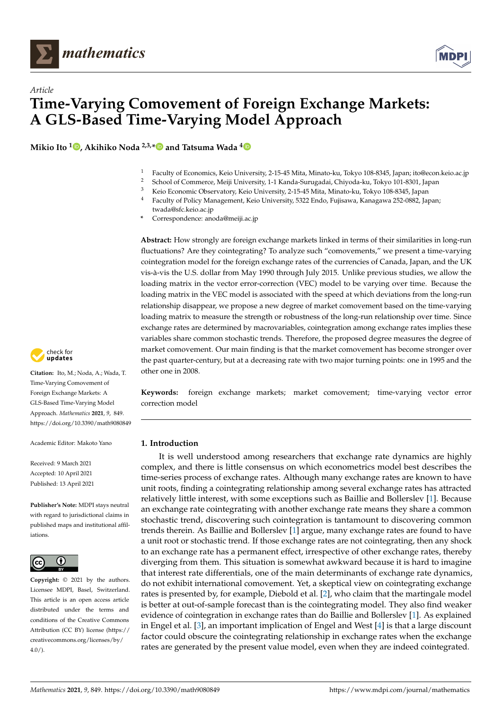



**Mikio Ito <sup>1</sup> [,](https://orcid.org/0000-0002-6079-3642) Akihiko Noda 2,3,[\\*](https://orcid.org/0000-0001-8073-8686) and Tatsuma Wada [4](https://orcid.org/0000-0002-3699-4954)**



- <sup>2</sup> School of Commerce, Meiji University, 1-1 Kanda-Surugadai, Chiyoda-ku, Tokyo 101-8301, Japan<br><sup>3</sup> Kaja Feanamia Obeaustany Kaja University, 2.15.45 Mita. Minata ku, Takyo 108,8245, Japan
	- <sup>3</sup> Keio Economic Observatory, Keio University, 2-15-45 Mita, Minato-ku, Tokyo 108-8345, Japan
- <sup>4</sup> Faculty of Policy Management, Keio University, 5322 Endo, Fujisawa, Kanagawa 252-0882, Japan;
	- twada@sfc.keio.ac.jp
- **\*** Correspondence: anoda@meiji.ac.jp

**Abstract:** How strongly are foreign exchange markets linked in terms of their similarities in long-run fluctuations? Are they cointegrating? To analyze such "comovements," we present a time-varying cointegration model for the foreign exchange rates of the currencies of Canada, Japan, and the UK vis-à-vis the U.S. dollar from May 1990 through July 2015. Unlike previous studies, we allow the loading matrix in the vector error-correction (VEC) model to be varying over time. Because the loading matrix in the VEC model is associated with the speed at which deviations from the long-run relationship disappear, we propose a new degree of market comovement based on the time-varying loading matrix to measure the strength or robustness of the long-run relationship over time. Since exchange rates are determined by macrovariables, cointegration among exchange rates implies these variables share common stochastic trends. Therefore, the proposed degree measures the degree of market comovement. Our main finding is that the market comovement has become stronger over the past quarter-century, but at a decreasing rate with two major turning points: one in 1995 and the other one in 2008.

**Keywords:** foreign exchange markets; market comovement; time-varying vector error correction model

## **1. Introduction**

It is well understood among researchers that exchange rate dynamics are highly complex, and there is little consensus on which econometrics model best describes the time-series process of exchange rates. Although many exchange rates are known to have unit roots, finding a cointegrating relationship among several exchange rates has attracted relatively little interest, with some exceptions such as Baillie and Bollerslev [\[1\]](#page-12-0). Because an exchange rate cointegrating with another exchange rate means they share a common stochastic trend, discovering such cointegration is tantamount to discovering common trends therein. As Baillie and Bollerslev [\[1\]](#page-12-0) argue, many exchange rates are found to have a unit root or stochastic trend. If those exchange rates are not cointegrating, then any shock to an exchange rate has a permanent effect, irrespective of other exchange rates, thereby diverging from them. This situation is somewhat awkward because it is hard to imagine that interest rate differentials, one of the main determinants of exchange rate dynamics, do not exhibit international comovement. Yet, a skeptical view on cointegrating exchange rates is presented by, for example, Diebold et al. [\[2\]](#page-12-1), who claim that the martingale model is better at out-of-sample forecast than is the cointegrating model. They also find weaker evidence of cointegration in exchange rates than do Baillie and Bollerslev [\[1\]](#page-12-0). As explained in Engel et al. [\[3\]](#page-12-2), an important implication of Engel and West [\[4\]](#page-12-3) is that a large discount factor could obscure the cointegrating relationship in exchange rates when the exchange rates are generated by the present value model, even when they are indeed cointegrated.



**Citation:** Ito, M.; Noda, A.; Wada, T. Time-Varying Comovement of Foreign Exchange Markets: A GLS-Based Time-Varying Model Approach. *Mathematics* **2021**, *9*, 849. <https://doi.org/10.3390/math9080849>

Academic Editor: Makoto Yano

Received: 9 March 2021 Accepted: 10 April 2021 Published: 13 April 2021

**Publisher's Note:** MDPI stays neutral with regard to jurisdictional claims in published maps and institutional affiliations.



**Copyright:** © 2021 by the authors. Licensee MDPI, Basel, Switzerland. This article is an open access article distributed under the terms and conditions of the Creative Commons Attribution (CC BY) license (https:/[/](https://creativecommons.org/licenses/by/4.0/) [creativecommons.org/licenses/by/](https://creativecommons.org/licenses/by/4.0/)  $4.0/$ ).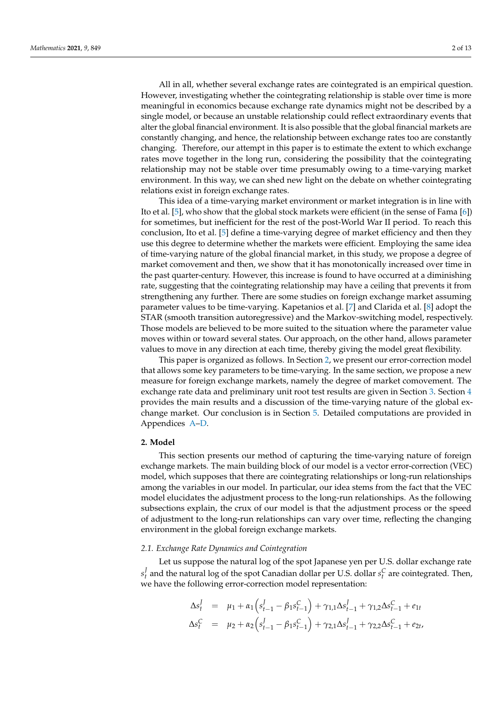All in all, whether several exchange rates are cointegrated is an empirical question. However, investigating whether the cointegrating relationship is stable over time is more meaningful in economics because exchange rate dynamics might not be described by a single model, or because an unstable relationship could reflect extraordinary events that alter the global financial environment. It is also possible that the global financial markets are constantly changing, and hence, the relationship between exchange rates too are constantly changing. Therefore, our attempt in this paper is to estimate the extent to which exchange rates move together in the long run, considering the possibility that the cointegrating relationship may not be stable over time presumably owing to a time-varying market environment. In this way, we can shed new light on the debate on whether cointegrating relations exist in foreign exchange rates.

This idea of a time-varying market environment or market integration is in line with Ito et al. [\[5\]](#page-12-4), who show that the global stock markets were efficient (in the sense of Fama [\[6\]](#page-12-5)) for sometimes, but inefficient for the rest of the post-World War II period. To reach this conclusion, Ito et al. [\[5\]](#page-12-4) define a time-varying degree of market efficiency and then they use this degree to determine whether the markets were efficient. Employing the same idea of time-varying nature of the global financial market, in this study, we propose a degree of market comovement and then, we show that it has monotonically increased over time in the past quarter-century. However, this increase is found to have occurred at a diminishing rate, suggesting that the cointegrating relationship may have a ceiling that prevents it from strengthening any further. There are some studies on foreign exchange market assuming parameter values to be time-varying. Kapetanios et al. [\[7\]](#page-12-6) and Clarida et al. [\[8\]](#page-12-7) adopt the STAR (smooth transition autoregressive) and the Markov-switching model, respectively. Those models are believed to be more suited to the situation where the parameter value moves within or toward several states. Our approach, on the other hand, allows parameter values to move in any direction at each time, thereby giving the model great flexibility.

This paper is organized as follows. In Section [2,](#page-1-0) we present our error-correction model that allows some key parameters to be time-varying. In the same section, we propose a new measure for foreign exchange markets, namely the degree of market comovement. The exchange rate data and preliminary unit root test results are given in Section [3.](#page-3-0) Section [4](#page-4-0) provides the main results and a discussion of the time-varying nature of the global exchange market. Our conclusion is in Section [5.](#page-7-0) Detailed computations are provided in Appendices [A](#page-8-0)[–D.](#page-11-0)

## <span id="page-1-0"></span>**2. Model**

This section presents our method of capturing the time-varying nature of foreign exchange markets. The main building block of our model is a vector error-correction (VEC) model, which supposes that there are cointegrating relationships or long-run relationships among the variables in our model. In particular, our idea stems from the fact that the VEC model elucidates the adjustment process to the long-run relationships. As the following subsections explain, the crux of our model is that the adjustment process or the speed of adjustment to the long-run relationships can vary over time, reflecting the changing environment in the global foreign exchange markets.

## *2.1. Exchange Rate Dynamics and Cointegration*

Let us suppose the natural log of the spot Japanese yen per U.S. dollar exchange rate *s J*  $\frac{1}{t}$  and the natural log of the spot Canadian dollar per U.S. dollar  $s_t^C$  are cointegrated. Then, we have the following error-correction model representation:

$$
\Delta s_t^J = \mu_1 + \alpha_1 (s_{t-1}^J - \beta_1 s_{t-1}^C) + \gamma_{1,1} \Delta s_{t-1}^J + \gamma_{1,2} \Delta s_{t-1}^C + e_{1t}
$$
  
\n
$$
\Delta s_t^C = \mu_2 + \alpha_2 (s_{t-1}^J - \beta_1 s_{t-1}^C) + \gamma_{2,1} \Delta s_{t-1}^J + \gamma_{2,2} \Delta s_{t-1}^C + e_{2t},
$$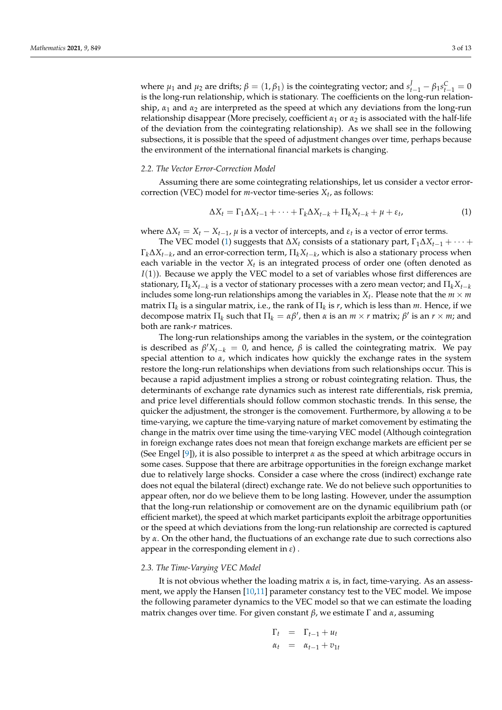where  $\mu_1$  and  $\mu_2$  are drifts;  $\beta = (1, \beta_1)$  is the cointegrating vector; and  $s_{t-1}^J - \beta_1 s_{t-1}^C = 0$ is the long-run relationship, which is stationary. The coefficients on the long-run relationship,  $\alpha_1$  and  $\alpha_2$  are interpreted as the speed at which any deviations from the long-run relationship disappear (More precisely, coefficient  $\alpha_1$  or  $\alpha_2$  is associated with the half-life of the deviation from the cointegrating relationship). As we shall see in the following subsections, it is possible that the speed of adjustment changes over time, perhaps because the environment of the international financial markets is changing.

#### *2.2. The Vector Error-Correction Model*

Assuming there are some cointegrating relationships, let us consider a vector errorcorrection (VEC) model for  $m$ -vector time-series  $X_t$ , as follows:

<span id="page-2-0"></span>
$$
\Delta X_t = \Gamma_1 \Delta X_{t-1} + \dots + \Gamma_k \Delta X_{t-k} + \Pi_k X_{t-k} + \mu + \varepsilon_t,
$$
\n<sup>(1)</sup>

where  $\Delta X_t = X_t - X_{t-1}$ ,  $\mu$  is a vector of intercepts, and  $\varepsilon_t$  is a vector of error terms.

The VEC model [\(1\)](#page-2-0) suggests that  $\Delta X_t$  consists of a stationary part,  $\Gamma_1 \Delta X_{t-1} + \cdots$  + Γ*k*∆*Xt*−*<sup>k</sup>* , and an error-correction term, Π*kXt*−*<sup>k</sup>* , which is also a stationary process when each variable in the vector *X<sup>t</sup>* is an integrated process of order one (often denoted as *I*(1)). Because we apply the VEC model to a set of variables whose first differences are stationary,  $\Pi_k X_{t-k}$  is a vector of stationary processes with a zero mean vector; and  $\Pi_k X_{t-k}$ includes some long-run relationships among the variables in  $X_t$ . Please note that the  $m \times m$  $m$ atrix  $\Pi_k$  is a singular matrix, i.e., the rank of  $\Pi_k$  is *r*, which is less than *m*. Hence, if we decompose matrix  $\Pi_k$  such that  $\Pi_k = \alpha \beta'$ , then  $\alpha$  is an  $m \times r$  matrix;  $\beta'$  is an  $r \times m$ ; and both are rank-*r* matrices.

The long-run relationships among the variables in the system, or the cointegration is described as  $\beta' X_{t-k} = 0$ , and hence,  $\beta$  is called the cointegrating matrix. We pay special attention to  $\alpha$ , which indicates how quickly the exchange rates in the system restore the long-run relationships when deviations from such relationships occur. This is because a rapid adjustment implies a strong or robust cointegrating relation. Thus, the determinants of exchange rate dynamics such as interest rate differentials, risk premia, and price level differentials should follow common stochastic trends. In this sense, the quicker the adjustment, the stronger is the comovement. Furthermore, by allowing *α* to be time-varying, we capture the time-varying nature of market comovement by estimating the change in the matrix over time using the time-varying VEC model (Although cointegration in foreign exchange rates does not mean that foreign exchange markets are efficient per se (See Engel [\[9\]](#page-12-8)), it is also possible to interpret  $\alpha$  as the speed at which arbitrage occurs in some cases. Suppose that there are arbitrage opportunities in the foreign exchange market due to relatively large shocks. Consider a case where the cross (indirect) exchange rate does not equal the bilateral (direct) exchange rate. We do not believe such opportunities to appear often, nor do we believe them to be long lasting. However, under the assumption that the long-run relationship or comovement are on the dynamic equilibrium path (or efficient market), the speed at which market participants exploit the arbitrage opportunities or the speed at which deviations from the long-run relationship are corrected is captured by *α*. On the other hand, the fluctuations of an exchange rate due to such corrections also appear in the corresponding element in *ε*) .

### *2.3. The Time-Varying VEC Model*

It is not obvious whether the loading matrix *α* is, in fact, time-varying. As an assessment, we apply the Hansen [\[10,](#page-12-9)[11\]](#page-12-10) parameter constancy test to the VEC model. We impose the following parameter dynamics to the VEC model so that we can estimate the loading matrix changes over time. For given constant *β*, we estimate Γ and *α*, assuming

$$
\Gamma_t = \Gamma_{t-1} + u_t
$$
  

$$
\alpha_t = \alpha_{t-1} + v_{1t}
$$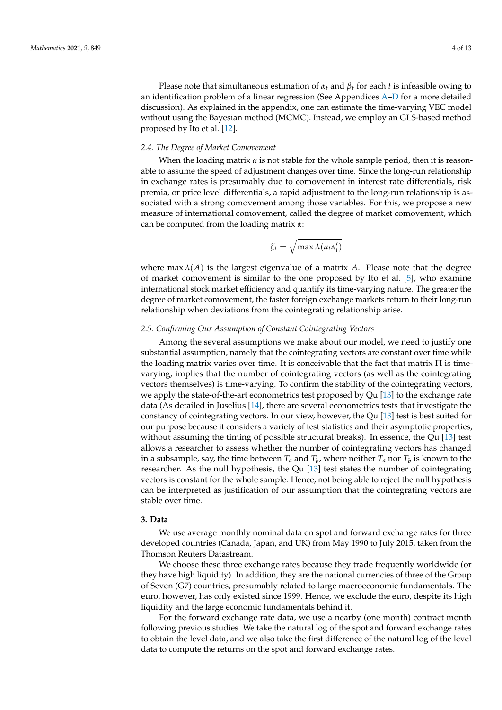Please note that simultaneous estimation of  $\alpha_t$  and  $\beta_t$  for each *t* is infeasible owing to an identification problem of a linear regression (See Appendices [A](#page-8-0)[–D](#page-11-0) for a more detailed discussion). As explained in the appendix, one can estimate the time-varying VEC model without using the Bayesian method (MCMC). Instead, we employ an GLS-based method proposed by Ito et al. [\[12\]](#page-12-11).

## *2.4. The Degree of Market Comovement*

When the loading matrix  $\alpha$  is not stable for the whole sample period, then it is reasonable to assume the speed of adjustment changes over time. Since the long-run relationship in exchange rates is presumably due to comovement in interest rate differentials, risk premia, or price level differentials, a rapid adjustment to the long-run relationship is associated with a strong comovement among those variables. For this, we propose a new measure of international comovement, called the degree of market comovement, which can be computed from the loading matrix *α*:

$$
\zeta_t = \sqrt{\max \lambda(\alpha_t \alpha'_t)}
$$

where max  $\lambda(A)$  is the largest eigenvalue of a matrix A. Please note that the degree of market comovement is similar to the one proposed by Ito et al. [\[5\]](#page-12-4), who examine international stock market efficiency and quantify its time-varying nature. The greater the degree of market comovement, the faster foreign exchange markets return to their long-run relationship when deviations from the cointegrating relationship arise.

## *2.5. Confirming Our Assumption of Constant Cointegrating Vectors*

Among the several assumptions we make about our model, we need to justify one substantial assumption, namely that the cointegrating vectors are constant over time while the loading matrix varies over time. It is conceivable that the fact that matrix  $\Pi$  is timevarying, implies that the number of cointegrating vectors (as well as the cointegrating vectors themselves) is time-varying. To confirm the stability of the cointegrating vectors, we apply the state-of-the-art econometrics test proposed by Qu  $[13]$  to the exchange rate data (As detailed in Juselius [\[14\]](#page-12-13), there are several econometrics tests that investigate the constancy of cointegrating vectors. In our view, however, the Qu [\[13\]](#page-12-12) test is best suited for our purpose because it considers a variety of test statistics and their asymptotic properties, without assuming the timing of possible structural breaks). In essence, the Qu [\[13\]](#page-12-12) test allows a researcher to assess whether the number of cointegrating vectors has changed in a subsample, say, the time between  $T_a$  and  $T_b$ , where neither  $T_a$  nor  $T_b$  is known to the researcher. As the null hypothesis, the Qu [\[13\]](#page-12-12) test states the number of cointegrating vectors is constant for the whole sample. Hence, not being able to reject the null hypothesis can be interpreted as justification of our assumption that the cointegrating vectors are stable over time.

## <span id="page-3-0"></span>**3. Data**

We use average monthly nominal data on spot and forward exchange rates for three developed countries (Canada, Japan, and UK) from May 1990 to July 2015, taken from the Thomson Reuters Datastream.

We choose these three exchange rates because they trade frequently worldwide (or they have high liquidity). In addition, they are the national currencies of three of the Group of Seven (G7) countries, presumably related to large macroeconomic fundamentals. The euro, however, has only existed since 1999. Hence, we exclude the euro, despite its high liquidity and the large economic fundamentals behind it.

For the forward exchange rate data, we use a nearby (one month) contract month following previous studies. We take the natural log of the spot and forward exchange rates to obtain the level data, and we also take the first difference of the natural log of the level data to compute the returns on the spot and forward exchange rates.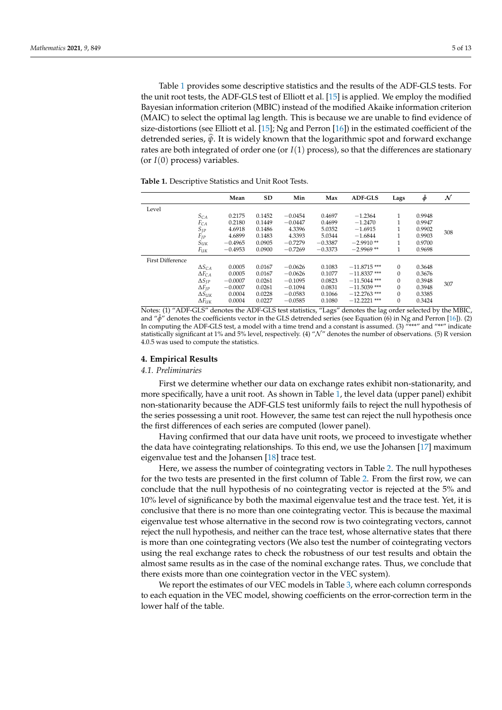Table [1](#page-4-1) provides some descriptive statistics and the results of the ADF-GLS tests. For the unit root tests, the ADF-GLS test of Elliott et al. [\[15\]](#page-12-14) is applied. We employ the modified Bayesian information criterion (MBIC) instead of the modified Akaike information criterion (MAIC) to select the optimal lag length. This is because we are unable to find evidence of size-distortions (see Elliott et al. [\[15\]](#page-12-14); Ng and Perron [\[16\]](#page-12-15)) in the estimated coefficient of the detrended series, *<sup>ψ</sup>*b. It is widely known that the logarithmic spot and forward exchange rates are both integrated of order one (or *I*(1) process), so that the differences are stationary (or  $I(0)$  process) variables.

<span id="page-4-1"></span>**Table 1.** Descriptive Statistics and Unit Root Tests.

|                         |                  | Mean      | SD     | Min       | Max       | <b>ADF-GLS</b> | Lags         | $\hat{\phi}$ | $\mathcal N$ |
|-------------------------|------------------|-----------|--------|-----------|-----------|----------------|--------------|--------------|--------------|
| Level                   |                  |           |        |           |           |                |              |              |              |
|                         | $S_{CA}$         | 0.2175    | 0.1452 | $-0.0454$ | 0.4697    | $-1.2364$      | 1            | 0.9948       |              |
|                         | $F_{CA}$         | 0.2180    | 0.1449 | $-0.0447$ | 0.4699    | $-1.2470$      |              | 0.9947       |              |
|                         | $S_{IP}$         | 4.6918    | 0.1486 | 4.3396    | 5.0352    | $-1.6915$      |              | 0.9902       |              |
|                         | $F_{JP}$         | 4.6899    | 0.1483 | 4.3393    | 5.0344    | $-1.6844$      | и            | 0.9903       | 308          |
|                         | $S_{\text{UK}}$  | $-0.4965$ | 0.0905 | $-0.7279$ | $-0.3387$ | $-2.9910**$    | и            | 0.9700       |              |
|                         | Fuk              | $-0.4953$ | 0.0900 | $-0.7269$ | $-0.3373$ | $-2.9969**$    | 1            | 0.9698       |              |
| <b>First Difference</b> |                  |           |        |           |           |                |              |              |              |
|                         | $\Delta S_{CA}$  | 0.0005    | 0.0167 | $-0.0626$ | 0.1083    | $-11.8715$ *** | 0            | 0.3648       |              |
|                         | $\Delta F_{CA}$  | 0.0005    | 0.0167 | $-0.0626$ | 0.1077    | $-11.8337$ *** | $\mathbf{0}$ | 0.3676       |              |
|                         | $\Delta S_{IP}$  | $-0.0007$ | 0.0261 | $-0.1095$ | 0.0823    | $-11.5044$ *** | $\mathbf{0}$ | 0.3948       |              |
|                         | $\Delta F_{IP}$  | $-0.0007$ | 0.0261 | $-0.1094$ | 0.0831    | $-11.5039$ *** | $\mathbf{0}$ | 0.3948       | 307          |
|                         | $\Delta S_{UK}$  | 0.0004    | 0.0228 | $-0.0583$ | 0.1066    | $-12.2763$ *** | $\mathbf{0}$ | 0.3385       |              |
|                         | $\Delta F_{IJK}$ | 0.0004    | 0.0227 | $-0.0585$ | 0.1080    | $-12.2221$ *** | $\mathbf{0}$ | 0.3424       |              |

Notes: (1) "ADF-GLS" denotes the ADF-GLS test statistics, "Lags" denotes the lag order selected by the MBIC, and "*φ*ˆ" denotes the coefficients vector in the GLS detrended series (see Equation (6) in Ng and Perron [\[16\]](#page-12-15)). (2) In computing the ADF-GLS test, a model with a time trend and a constant is assumed. (3)  $\frac{N***}{N}$  and  $\frac{M***}{N}$  indicate statistically significant at 1% and 5% level, respectively. (4) " $\mathcal{N}$ " denotes the number of observations. (5) R version 4.0.5 was used to compute the statistics.

#### <span id="page-4-0"></span>**4. Empirical Results**

#### *4.1. Preliminaries*

First we determine whether our data on exchange rates exhibit non-stationarity, and more specifically, have a unit root. As shown in Table [1,](#page-4-1) the level data (upper panel) exhibit non-stationarity because the ADF-GLS test uniformly fails to reject the null hypothesis of the series possessing a unit root. However, the same test can reject the null hypothesis once the first differences of each series are computed (lower panel).

Having confirmed that our data have unit roots, we proceed to investigate whether the data have cointegrating relationships. To this end, we use the Johansen [\[17\]](#page-12-16) maximum eigenvalue test and the Johansen [\[18\]](#page-12-17) trace test.

Here, we assess the number of cointegrating vectors in Table [2.](#page-5-0) The null hypotheses for the two tests are presented in the first column of Table [2.](#page-5-0) From the first row, we can conclude that the null hypothesis of no cointegrating vector is rejected at the 5% and 10% level of significance by both the maximal eigenvalue test and the trace test. Yet, it is conclusive that there is no more than one cointegrating vector. This is because the maximal eigenvalue test whose alternative in the second row is two cointegrating vectors, cannot reject the null hypothesis, and neither can the trace test, whose alternative states that there is more than one cointegrating vectors (We also test the number of cointegrating vectors using the real exchange rates to check the robustness of our test results and obtain the almost same results as in the case of the nominal exchange rates. Thus, we conclude that there exists more than one cointegration vector in the VEC system).

We report the estimates of our VEC models in Table [3,](#page-5-1) where each column corresponds to each equation in the VEC model, showing coefficients on the error-correction term in the lower half of the table.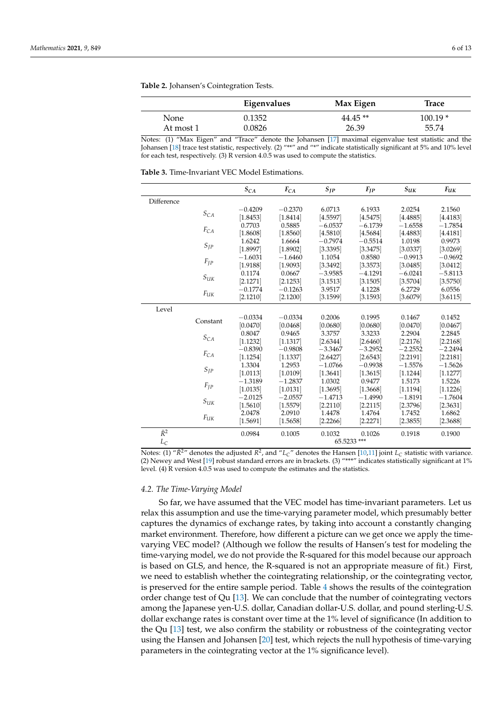| × | I | × |
|---|---|---|
|   |   |   |

<span id="page-5-0"></span>**Table 2.** Johansen's Cointegration Tests.

|           | Eigenvalues | Max Eigen | Trace    |
|-----------|-------------|-----------|----------|
| None      | 0.1352      | $44.45**$ | 100.19 * |
| At most 1 | 0.0826      | 26.39     | 55.74    |

Notes: (1) "Max Eigen" and "Trace" denote the Johansen [\[17\]](#page-12-16) maximal eigenvalue test statistic and the Johansen [\[18\]](#page-12-17) trace test statistic, respectively. (2) "\*\*" and "\*" indicate statistically significant at 5% and 10% level for each test, respectively. (3) R version 4.0.5 was used to compute the statistics.

<span id="page-5-1"></span>**Table 3.** Time-Invariant VEC Model Estimations.

|             |                                        | $S_{CA}$  | $F_{CA}$  | $S_{IP}$  | $F_{JP}$    | $S_{UK}$  | $F_{UK}$  |
|-------------|----------------------------------------|-----------|-----------|-----------|-------------|-----------|-----------|
| Difference  |                                        |           |           |           |             |           |           |
|             | $S_{CA}$                               | $-0.4209$ | $-0.2370$ | 6.0713    | 6.1933      | 2.0254    | 2.1560    |
|             |                                        | [1.8453]  | [1.8414]  | [4.5597]  | [4.5475]    | [4.4885]  | [4.4183]  |
|             |                                        | 0.7703    | 0.5885    | $-6.0537$ | $-6.1739$   | $-1.6558$ | $-1.7854$ |
|             | $F_{CA}$                               | [1.8608]  | [1.8560]  | [4.5810]  | [4.5684]    | [4.4883]  | [4.4181]  |
|             |                                        | 1.6242    | 1.6664    | $-0.7974$ | $-0.5514$   | 1.0198    | 0.9973    |
|             | $S_{IP}$                               | [1.8997]  | [1.8902]  | [3.3395]  | [3.3475]    | [3.0337]  | [3.0269]  |
|             |                                        | $-1.6031$ | $-1.6460$ | 1.1054    | 0.8580      | $-0.9913$ | $-0.9692$ |
|             | $F_{JP}$                               | [1.9188]  | [1.9093]  | [3.3492]  | [3.3573]    | [3.0485]  | [3.0412]  |
|             |                                        | 0.1174    | 0.0667    | $-3.9585$ | $-4.1291$   | $-6.0241$ | $-5.8113$ |
|             | $S_{\ensuremath{U\!K}}$                | [2.1271]  | [2.1253]  | [3.1513]  | [3.1505]    | [3.5704]  | [3.5750]  |
|             |                                        | $-0.1774$ | $-0.1263$ | 3.9517    | 4.1228      | 6.2729    | 6.0556    |
|             | $F_{UK}$                               | [2.1210]  | [2.1200]  | [3.1599]  | [3.1593]    | [3.6079]  | [3.6115]  |
| Level       |                                        |           |           |           |             |           |           |
|             |                                        | $-0.0334$ | $-0.0334$ | 0.2006    | 0.1995      | 0.1467    | 0.1452    |
|             | Constant                               | [0.0470]  | [0.0468]  | [0.0680]  | [0.0680]    | [0.0470]  | [0.0467]  |
|             |                                        | 0.8047    | 0.9465    | 3.3757    | 3.3233      | 2.2904    | 2.2845    |
|             | $S_{CA}$                               | [1.1232]  | [1.1317]  | [2.6344]  | [2.6460]    | [2.2176]  | [2.2168]  |
|             |                                        | $-0.8390$ | $-0.9808$ | $-3.3467$ | $-3.2952$   | $-2.2552$ | $-2.2494$ |
|             | $F_{CA}$                               | [1.1254]  | [1.1337]  | [2.6427]  | [2.6543]    | [2.2191]  | [2.2181]  |
|             |                                        | 1.3304    | 1.2953    | $-1.0766$ | $-0.9938$   | $-1.5576$ | $-1.5626$ |
|             | $S_{IP}$                               | [1.0113]  | [1.0109]  | [1.3641]  | [1.3615]    | [1.1244]  | [1.1277]  |
|             |                                        | $-1.3189$ | $-1.2837$ | 1.0302    | 0.9477      | 1.5173    | 1.5226    |
|             | $F_{IP}$                               | [1.0135]  | [1.0131]  | [1.3695]  | [1.3668]    | [1.1194]  | [1.1226]  |
|             |                                        | $-2.0125$ | $-2.0557$ | $-1.4713$ | $-1.4990$   | $-1.8191$ | $-1.7604$ |
|             | $\mathcal{S}_{\mathcal{U}\mathcal{K}}$ | [1.5610]  | [1.5579]  | [2.2110]  | [2.2115]    | [2.3796]  | [2.3631]  |
|             |                                        | 2.0478    | 2.0910    | 1.4478    | 1.4764      | 1.7452    | 1.6862    |
|             | $F_{UK}$                               | [1.5691]  | [1.5658]  | [2.2266]  | [2.2271]    | [2.3855]  | [2.3688]  |
| $\bar{R}^2$ |                                        | 0.0984    | 0.1005    | 0.1032    | 0.1026      | 0.1918    | 0.1900    |
| $L_C$       |                                        |           |           |           | 65.5233 *** |           |           |

Notes: (1) " $\bar{R}^2$ " denotes the adjusted  $R^2$ , and " $L_C$ " denotes the Hansen [\[10,](#page-12-9)[11\]](#page-12-10) joint  $L_C$  statistic with variance. (2) Newey and West [\[19\]](#page-12-18) robust standard errors are in brackets. (3) "\*\*\*" indicates statistically significant at 1% level. (4) R version 4.0.5 was used to compute the estimates and the statistics.

### *4.2. The Time-Varying Model*

So far, we have assumed that the VEC model has time-invariant parameters. Let us relax this assumption and use the time-varying parameter model, which presumably better captures the dynamics of exchange rates, by taking into account a constantly changing market environment. Therefore, how different a picture can we get once we apply the timevarying VEC model? (Although we follow the results of Hansen's test for modeling the time-varying model, we do not provide the R-squared for this model because our approach is based on GLS, and hence, the R-squared is not an appropriate measure of fit.) First, we need to establish whether the cointegrating relationship, or the cointegrating vector, is preserved for the entire sample period. Table [4](#page-6-0) shows the results of the cointegration order change test of Qu [\[13\]](#page-12-12). We can conclude that the number of cointegrating vectors among the Japanese yen-U.S. dollar, Canadian dollar-U.S. dollar, and pound sterling-U.S. dollar exchange rates is constant over time at the 1% level of significance (In addition to the Qu [\[13\]](#page-12-12) test, we also confirm the stability or robustness of the cointegrating vector using the Hansen and Johansen [\[20\]](#page-12-19) test, which rejects the null hypothesis of time-varying parameters in the cointegrating vector at the 1% significance level).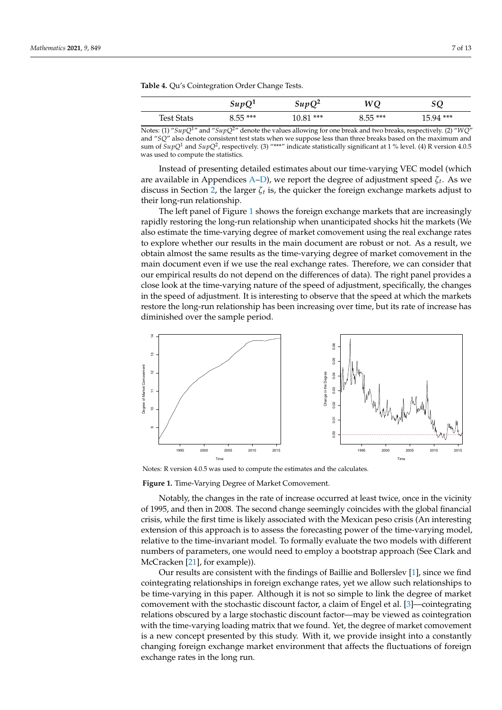<span id="page-6-0"></span>**Table 4.** Qu's Cointegration Order Change Tests.

|                   | SupQ <sup>1</sup> | $\sin p Q^2$ | WQ        | SQ         |  |
|-------------------|-------------------|--------------|-----------|------------|--|
| <b>Test Stats</b> | $8.55***$         | $10.81***$   | $8.55***$ | $15.94***$ |  |

Notes: (1) "*SupQ*1" and "*SupQ*2" denote the values allowing for one break and two breaks, respectively. (2) "*WQ*" and "*SQ*" also denote consistent test stats when we suppose less than three breaks based on the maximum and sum of *SupQ*<sup>1</sup> and *SupQ*<sup>2</sup> , respectively. (3) "\*\*\*" indicate statistically significant at 1 % level. (4) R version 4.0.5 was used to compute the statistics.

Instead of presenting detailed estimates about our time-varying VEC model (which are available in Appendices [A](#page-8-0)[–D\)](#page-11-0), we report the degree of adjustment speed *ζ<sup>t</sup>* . As we discuss in Section [2,](#page-1-0) the larger *ζ<sup>t</sup>* is, the quicker the foreign exchange markets adjust to their long-run relationship.

The left panel of Figure [1](#page-6-1) shows the foreign exchange markets that are increasingly rapidly restoring the long-run relationship when unanticipated shocks hit the markets (We also estimate the time-varying degree of market comovement using the real exchange rates to explore whether our results in the main document are robust or not. As a result, we obtain almost the same results as the time-varying degree of market comovement in the main document even if we use the real exchange rates. Therefore, we can consider that our empirical results do not depend on the differences of data). The right panel provides a close look at the time-varying nature of the speed of adjustment, specifically, the changes in the speed of adjustment. It is interesting to observe that the speed at which the markets restore the long-run relationship has been increasing over time, but its rate of increase has diminished over the sample period.

<span id="page-6-1"></span>

Notes: R version 4.0.5 was used to compute the estimates and the calculates.

**Figure 1.** Time-Varying Degree of Market Comovement.

Notably, the changes in the rate of increase occurred at least twice, once in the vicinity of 1995, and then in 2008. The second change seemingly coincides with the global financial crisis, while the first time is likely associated with the Mexican peso crisis (An interesting extension of this approach is to assess the forecasting power of the time-varying model, relative to the time-invariant model. To formally evaluate the two models with different numbers of parameters, one would need to employ a bootstrap approach (See Clark and McCracken [\[21\]](#page-12-20), for example)).

Our results are consistent with the findings of Baillie and Bollerslev [\[1\]](#page-12-0), since we find cointegrating relationships in foreign exchange rates, yet we allow such relationships to be time-varying in this paper. Although it is not so simple to link the degree of market comovement with the stochastic discount factor, a claim of Engel et al. [\[3\]](#page-12-2)—cointegrating relations obscured by a large stochastic discount factor—may be viewed as cointegration with the time-varying loading matrix that we found. Yet, the degree of market comovement is a new concept presented by this study. With it, we provide insight into a constantly changing foreign exchange market environment that affects the fluctuations of foreign exchange rates in the long run.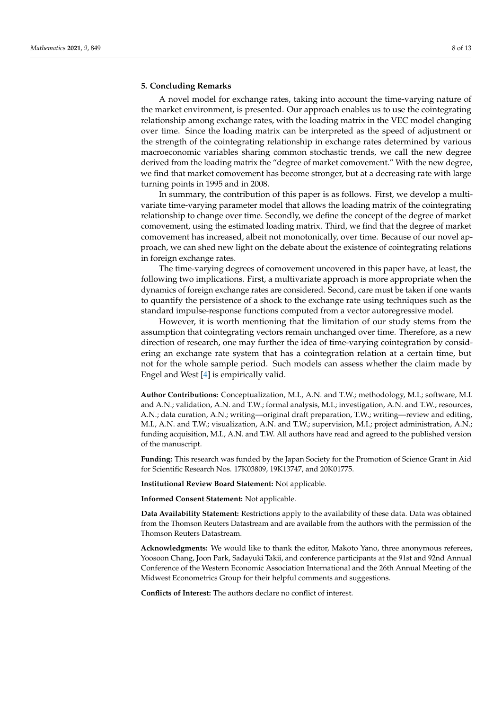## <span id="page-7-0"></span>**5. Concluding Remarks**

A novel model for exchange rates, taking into account the time-varying nature of the market environment, is presented. Our approach enables us to use the cointegrating relationship among exchange rates, with the loading matrix in the VEC model changing over time. Since the loading matrix can be interpreted as the speed of adjustment or the strength of the cointegrating relationship in exchange rates determined by various macroeconomic variables sharing common stochastic trends, we call the new degree derived from the loading matrix the "degree of market comovement." With the new degree, we find that market comovement has become stronger, but at a decreasing rate with large turning points in 1995 and in 2008.

In summary, the contribution of this paper is as follows. First, we develop a multivariate time-varying parameter model that allows the loading matrix of the cointegrating relationship to change over time. Secondly, we define the concept of the degree of market comovement, using the estimated loading matrix. Third, we find that the degree of market comovement has increased, albeit not monotonically, over time. Because of our novel approach, we can shed new light on the debate about the existence of cointegrating relations in foreign exchange rates.

The time-varying degrees of comovement uncovered in this paper have, at least, the following two implications. First, a multivariate approach is more appropriate when the dynamics of foreign exchange rates are considered. Second, care must be taken if one wants to quantify the persistence of a shock to the exchange rate using techniques such as the standard impulse-response functions computed from a vector autoregressive model.

However, it is worth mentioning that the limitation of our study stems from the assumption that cointegrating vectors remain unchanged over time. Therefore, as a new direction of research, one may further the idea of time-varying cointegration by considering an exchange rate system that has a cointegration relation at a certain time, but not for the whole sample period. Such models can assess whether the claim made by Engel and West [\[4\]](#page-12-3) is empirically valid.

**Author Contributions:** Conceptualization, M.I., A.N. and T.W.; methodology, M.I.; software, M.I. and A.N.; validation, A.N. and T.W.; formal analysis, M.I.; investigation, A.N. and T.W.; resources, A.N.; data curation, A.N.; writing—original draft preparation, T.W.; writing—review and editing, M.I., A.N. and T.W.; visualization, A.N. and T.W.; supervision, M.I.; project administration, A.N.; funding acquisition, M.I., A.N. and T.W. All authors have read and agreed to the published version of the manuscript.

**Funding:** This research was funded by the Japan Society for the Promotion of Science Grant in Aid for Scientific Research Nos. 17K03809, 19K13747, and 20K01775.

**Institutional Review Board Statement:** Not applicable.

**Informed Consent Statement:** Not applicable.

**Data Availability Statement:** Restrictions apply to the availability of these data. Data was obtained from the Thomson Reuters Datastream and are available from the authors with the permission of the Thomson Reuters Datastream.

**Acknowledgments:** We would like to thank the editor, Makoto Yano, three anonymous referees, Yoosoon Chang, Joon Park, Sadayuki Takii, and conference participants at the 91st and 92nd Annual Conference of the Western Economic Association International and the 26th Annual Meeting of the Midwest Econometrics Group for their helpful comments and suggestions.

**Conflicts of Interest:** The authors declare no conflict of interest.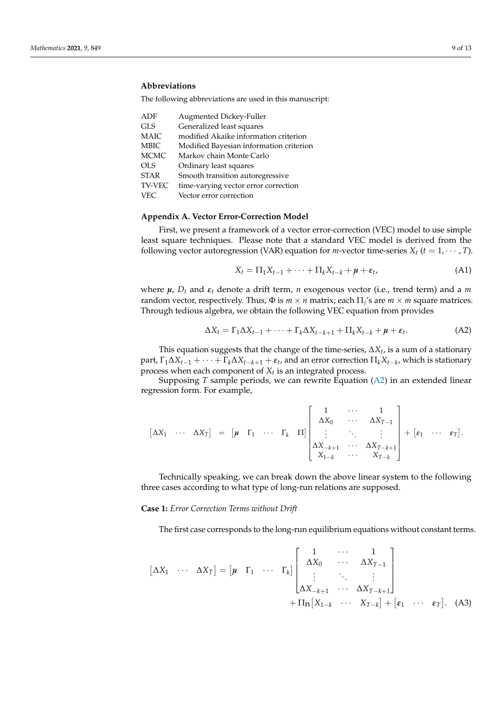# **Abbreviations**

The following abbreviations are used in this manuscript:

| ADF           | Augmented Dickey-Fuller                 |
|---------------|-----------------------------------------|
| <b>GLS</b>    | Generalized least squares               |
| <b>MAIC</b>   | modified Akaike information criterion   |
| <b>MBIC</b>   | Modified Bayesian information criterion |
| <b>MCMC</b>   | Markov chain Monte Carlo                |
| <b>OLS</b>    | Ordinary least squares                  |
| <b>STAR</b>   | Smooth transition autoregressive        |
| <b>TV-VEC</b> | time-varying vector error correction    |
| <b>VEC</b>    | Vector error correction                 |

## <span id="page-8-0"></span>**Appendix A. Vector Error-Correction Model**

First, we present a framework of a vector error-correction (VEC) model to use simple least square techniques. Please note that a standard VEC model is derived from the following vector autoregression (VAR) equation for *m*-vector time-series  $X_t$  ( $t = 1, \dots, T$ ).

<span id="page-8-3"></span>
$$
X_t = \Pi_1 X_{t-1} + \dots + \Pi_k X_{t-k} + \mu + \varepsilon_t, \tag{A1}
$$

where  $\mu$ ,  $D_t$  and  $\varepsilon_t$  denote a drift term, *n* exogenous vector (i.e., trend term) and a *m* random vector, respectively. Thus,  $\Phi$  is  $m \times n$  matrix; each  $\Pi_j$ 's are  $m \times m$  square matrices. Through tedious algebra, we obtain the following VEC equation from provides

<span id="page-8-1"></span>
$$
\Delta X_t = \Gamma_1 \Delta X_{t-1} + \dots + \Gamma_k \Delta X_{t-k+1} + \Pi_k X_{t-k} + \mu + \varepsilon_t.
$$
 (A2)

This equation suggests that the change of the time-series, ∆*X<sup>t</sup>* , is a sum of a stationary  $\text{part}, \Gamma_1 \Delta X_{t-1} + \cdots + \Gamma_k \Delta X_{t-k+1} + \varepsilon_t$ , and an error correction  $\Pi_k X_{t-k}$ , which is stationary process when each component of *X<sup>t</sup>* is an integrated process.

Supposing *T* sample periods, we can rewrite Equation [\(A2\)](#page-8-1) in an extended linear regression form. For example,

$$
\begin{bmatrix} \Delta X_1 & \cdots & \Delta X_T \end{bmatrix} = \begin{bmatrix} \mu & \Gamma_1 & \cdots & \Gamma_k & \Pi \end{bmatrix} \begin{bmatrix} 1 & \cdots & 1 \\ \Delta X_0 & \cdots & \Delta X_{T-1} \\ \vdots & \ddots & \vdots \\ \Delta X_{-k+1} & \cdots & \Delta X_{T-k+1} \\ X_{1-k} & \cdots & X_{T-k} \end{bmatrix} + \begin{bmatrix} \varepsilon_1 & \cdots & \varepsilon_T \end{bmatrix}.
$$

Technically speaking, we can break down the above linear system to the following three cases according to what type of long-run relations are supposed.

## **Case 1:** *Error Correction Terms without Drift*

<span id="page-8-2"></span>The first case corresponds to the long-run equilibrium equations without constant terms.

$$
\begin{bmatrix} \Delta X_1 & \cdots & \Delta X_T \end{bmatrix} = \begin{bmatrix} \boldsymbol{\mu} & \Gamma_1 & \cdots & \Gamma_k \end{bmatrix} \begin{bmatrix} 1 & \cdots & 1 \\ \Delta X_0 & \cdots & \Delta X_{T-1} \\ \vdots & \ddots & \vdots \\ \Delta X_{-k+1} & \cdots & \Delta X_{T-k+1} \end{bmatrix} + \Pi_{\mathbf{n}} \begin{bmatrix} X_{1-k} & \cdots & X_{T-k} \end{bmatrix} + \begin{bmatrix} \boldsymbol{\varepsilon}_1 & \cdots & \boldsymbol{\varepsilon}_T \end{bmatrix}.
$$
 (A3)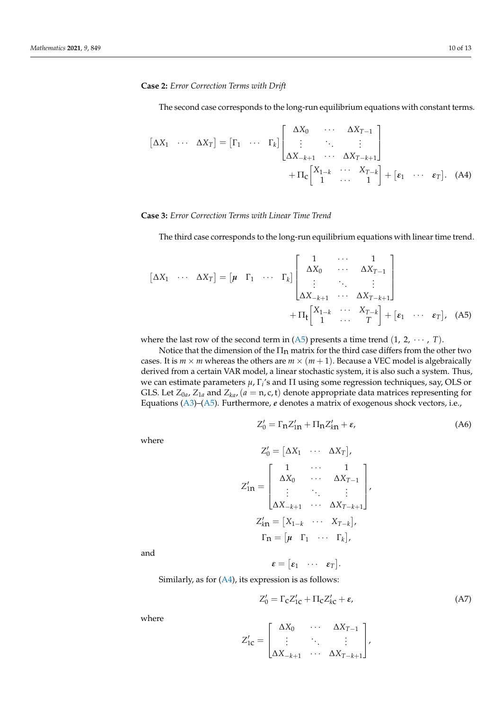## **Case 2:** *Error Correction Terms with Drift*

<span id="page-9-1"></span>The second case corresponds to the long-run equilibrium equations with constant terms.

$$
\begin{bmatrix} \Delta X_1 & \cdots & \Delta X_T \end{bmatrix} = \begin{bmatrix} \Gamma_1 & \cdots & \Gamma_k \end{bmatrix} \begin{bmatrix} \Delta X_0 & \cdots & \Delta X_{T-1} \\ \vdots & \ddots & \vdots \\ \Delta X_{-k+1} & \cdots & \Delta X_{T-k+1} \end{bmatrix} + \Pi_{\mathbf{C}} \begin{bmatrix} X_{1-k} & \cdots & X_{T-k} \\ 1 & \cdots & 1 \end{bmatrix} + \begin{bmatrix} \varepsilon_1 & \cdots & \varepsilon_T \end{bmatrix}. \quad \text{(A4)}
$$

## **Case 3:** *Error Correction Terms with Linear Time Trend*

The third case corresponds to the long-run equilibrium equations with linear time trend.

$$
\begin{bmatrix} \Delta X_1 & \cdots & \Delta X_T \end{bmatrix} = \begin{bmatrix} \boldsymbol{\mu} & \Gamma_1 & \cdots & \Gamma_k \end{bmatrix} \begin{bmatrix} 1 & \cdots & 1 \\ \Delta X_0 & & \cdots & \Delta X_{T-1} \\ \vdots & & \ddots & \vdots \\ \Delta X_{-k+1} & \cdots & \Delta X_{T-k+1} \end{bmatrix} + \Pi_t \begin{bmatrix} X_{1-k} & \cdots & X_{T-k} \\ 1 & \cdots & T \end{bmatrix} + \begin{bmatrix} \varepsilon_1 & \cdots & \varepsilon_T \end{bmatrix}, \quad (A5)
$$

where the last row of the second term in  $(A5)$  presents a time trend  $(1, 2, \cdots, T)$ .

Notice that the dimension of the  $\Pi_n$  matrix for the third case differs from the other two cases. It is  $m \times m$  whereas the others are  $m \times (m + 1)$ . Because a VEC model is algebraically derived from a certain VAR model, a linear stochastic system, it is also such a system. Thus, we can estimate parameters *µ*, Γ*<sup>i</sup>* 's and Π using some regression techniques, say, OLS or GLS. Let  $Z_{0a}$ ,  $Z_{1a}$  and  $Z_{ka}$ , ( $a = n$ , c, t) denote appropriate data matrices representing for Equations [\(A3\)](#page-8-2)–[\(A5\)](#page-9-0). Furthermore, *e* denotes a matrix of exogenous shock vectors, i.e.,

<span id="page-9-2"></span>
$$
Z_0' = \Gamma_n Z_{1n}' + \Pi_n Z_{k n}' + \varepsilon,\tag{A6}
$$

<span id="page-9-0"></span> $\sim$  22  $\sim$ 

where

$$
Z'_{0} = \begin{bmatrix} \Delta X_{1} & \cdots & \Delta X_{T} \end{bmatrix},
$$

$$
Z'_{1n} = \begin{bmatrix} 1 & \cdots & 1 \\ \Delta X_{0} & \cdots & \Delta X_{T-1} \\ \vdots & \ddots & \vdots \\ \Delta X_{-k+1} & \cdots & \Delta X_{T-k+1} \end{bmatrix},
$$

$$
Z'_{k n} = \begin{bmatrix} X_{1-k} & \cdots & X_{T-k} \end{bmatrix},
$$

$$
\Gamma_{n} = \begin{bmatrix} \mu & \Gamma_{1} & \cdots & \Gamma_{k} \end{bmatrix},
$$

and

 $\pmb{\varepsilon} = \begin{bmatrix} \pmb{\varepsilon}_1 & \cdots & \pmb{\varepsilon}_T \end{bmatrix}$ .

Similarly, as for  $(A4)$ , its expression is as follows:

<span id="page-9-3"></span>
$$
Z'_0 = \Gamma_c Z'_{1c} + \Pi_c Z'_{kc} + \varepsilon, \tag{A7}
$$

where

$$
Z'_{1c} = \begin{bmatrix} \Delta X_0 & \cdots & \Delta X_{T-1} \\ \vdots & \ddots & \vdots \\ \Delta X_{-k+1} & \cdots & \Delta X_{T-k+1} \end{bmatrix},
$$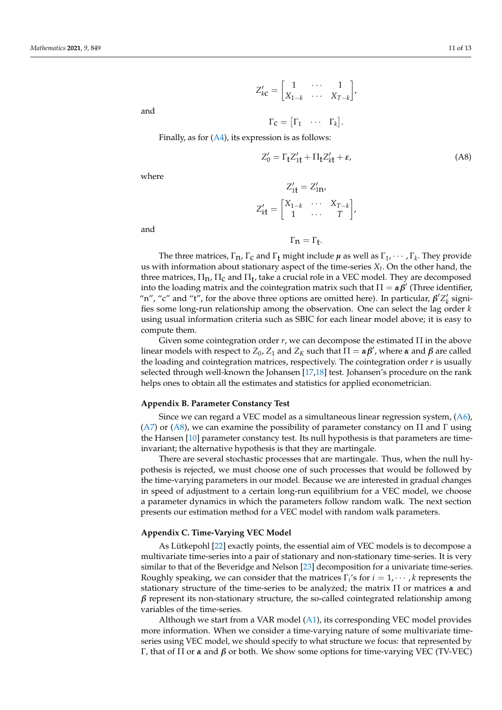$$
Z'_{k\mathbf{C}} = \begin{bmatrix} 1 & \cdots & 1 \\ X_{1-k} & \cdots & X_{T-k} \end{bmatrix},
$$

 $\Gamma_{\mathbf{C}} = \begin{bmatrix} \Gamma_1 & \cdots & \Gamma_k \end{bmatrix}.$ 

and

Finally, as for  $(A4)$ , its expression is as follows:

<span id="page-10-0"></span>
$$
Z_0' = \Gamma_t Z_{1t}' + \Pi_t Z_{kt}' + \varepsilon,\tag{A8}
$$

where

and

$$
Z'_{1t} = Z'_{1n},
$$
  

$$
Z'_{kt} = \begin{bmatrix} X_{1-k} & \cdots & X_{T-k} \\ 1 & \cdots & T \end{bmatrix},
$$

 $\Gamma_{n} = \Gamma_{t}.$ 

 $\overline{\phantom{0}}$ 

The three matrices,  $\Gamma_n$ ,  $\Gamma_c$  and  $\Gamma_t$  might include  $\mu$  as well as  $\Gamma_1$ ,  $\cdots$ ,  $\Gamma_k$ . They provide us with information about stationary aspect of the time-series *X<sup>t</sup>* . On the other hand, the three matrices,  $\Pi_{\mathbf{n}}$ ,  $\Pi_{\mathbf{C}}$  and  $\Pi_{\mathbf{t}}$ , take a crucial role in a VEC model. They are decomposed into the loading matrix and the cointegration matrix such that  $\Pi = \alpha \beta'$  (Three identifier, "n", "c" and "t", for the above three options are omitted here). In particular,  $\beta' Z'_k$  signifies some long-run relationship among the observation. One can select the lag order *k* using usual information criteria such as SBIC for each linear model above; it is easy to compute them.

Given some cointegration order  $r$ , we can decompose the estimated  $\Pi$  in the above linear models with respect to  $Z_0$ ,  $Z_1$  and  $Z_K$  such that  $\Pi = \alpha \beta'$ , where  $\alpha$  and  $\beta$  are called the loading and cointegration matrices, respectively. The cointegration order *r* is usually selected through well-known the Johansen [\[17](#page-12-16)[,18\]](#page-12-17) test. Johansen's procedure on the rank helps ones to obtain all the estimates and statistics for applied econometrician.

### **Appendix B. Parameter Constancy Test**

Since we can regard a VEC model as a simultaneous linear regression system, [\(A6\)](#page-9-2), [\(A7\)](#page-9-3) or [\(A8\)](#page-10-0), we can examine the possibility of parameter constancy on  $\Pi$  and  $\Gamma$  using the Hansen [\[10\]](#page-12-9) parameter constancy test. Its null hypothesis is that parameters are timeinvariant; the alternative hypothesis is that they are martingale.

There are several stochastic processes that are martingale. Thus, when the null hypothesis is rejected, we must choose one of such processes that would be followed by the time-varying parameters in our model. Because we are interested in gradual changes in speed of adjustment to a certain long-run equilibrium for a VEC model, we choose a parameter dynamics in which the parameters follow random walk. The next section presents our estimation method for a VEC model with random walk parameters.

## **Appendix C. Time-Varying VEC Model**

As Lütkepohl [\[22\]](#page-12-21) exactly points, the essential aim of VEC models is to decompose a multivariate time-series into a pair of stationary and non-stationary time-series. It is very similar to that of the Beveridge and Nelson [\[23\]](#page-12-22) decomposition for a univariate time-series. Roughly speaking, we can consider that the matrices  $\Gamma_i$ 's for  $i = 1, \dots, k$  represents the stationary structure of the time-series to be analyzed; the matrix Π or matrices *α* and  $\beta$  represent its non-stationary structure, the so-called cointegrated relationship among variables of the time-series.

Although we start from a VAR model [\(A1\)](#page-8-3), its corresponding VEC model provides more information. When we consider a time-varying nature of some multivariate timeseries using VEC model, we should specify to what structure we focus: that represented by Γ, that of Π or *α* and *β* or both. We show some options for time-varying VEC (TV-VEC)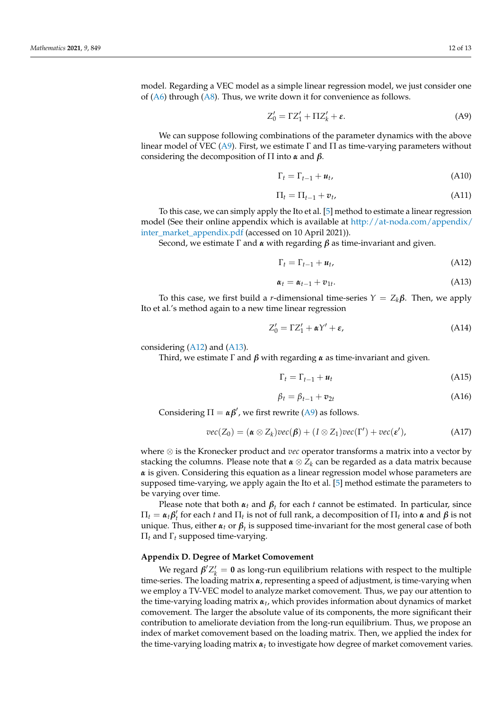<span id="page-11-1"></span>
$$
Z'_0 = \Gamma Z'_1 + \Pi Z'_k + \varepsilon. \tag{A9}
$$

We can suppose following combinations of the parameter dynamics with the above linear model of VEC [\(A9\)](#page-11-1). First, we estimate  $\Gamma$  and  $\Pi$  as time-varying parameters without considering the decomposition of Π into *α* and *β*.

$$
\Gamma_t = \Gamma_{t-1} + u_t, \tag{A10}
$$

$$
\Pi_t = \Pi_{t-1} + v_t,\tag{A11}
$$

To this case, we can simply apply the Ito et al. [\[5\]](#page-12-4) method to estimate a linear regression model (See their online appendix which is available at [http://at-noda.com/appendix/](http://at-noda.com/appendix/inter_market_appendix.pdf) [inter\\_market\\_appendix.pdf](http://at-noda.com/appendix/inter_market_appendix.pdf) (accessed on 10 April 2021)).

Second, we estimate Γ and *α* with regarding *β* as time-invariant and given.

<span id="page-11-2"></span>
$$
\Gamma_t = \Gamma_{t-1} + u_t, \tag{A12}
$$

<span id="page-11-3"></span>
$$
\boldsymbol{\alpha}_t = \boldsymbol{\alpha}_{t-1} + \boldsymbol{v}_{1t}.\tag{A13}
$$

To this case, we first build a *r*-dimensional time-series  $Y = Z_k \beta$ . Then, we apply Ito et al.'s method again to a new time linear regression

$$
Z_0' = \Gamma Z_1' + \alpha Y' + \varepsilon,\tag{A14}
$$

considering  $(A12)$  and  $(A13)$ .

Third, we estimate Γ and *β* with regarding *α* as time-invariant and given.

$$
\Gamma_t = \Gamma_{t-1} + u_t \tag{A15}
$$

$$
\beta_t = \beta_{t-1} + \mathbf{v}_{2t} \tag{A16}
$$

Considering  $\Pi = \alpha \beta'$ , we first rewrite [\(A9\)](#page-11-1) as follows.

$$
vec(Z_0) = (\boldsymbol{\alpha} \otimes Z_k)vec(\boldsymbol{\beta}) + (I \otimes Z_1)vec(\boldsymbol{\Gamma}') + vec(\boldsymbol{\varepsilon}'), \qquad (A17)
$$

where ⊗ is the Kronecker product and *vec* operator transforms a matrix into a vector by stacking the columns. Please note that *α* ⊗ *Z<sup>k</sup>* can be regarded as a data matrix because *α* is given. Considering this equation as a linear regression model whose parameters are supposed time-varying, we apply again the Ito et al. [\[5\]](#page-12-4) method estimate the parameters to be varying over time.

Please note that both  $\alpha_t$  and  $\beta_t$  for each *t* cannot be estimated. In particular, since  $\Pi_t = \alpha_t \beta'_t$  for each *t* and  $\Pi_t$  is not of full rank, a decomposition of  $\Pi_t$  into *α* and *β* is not unique. Thus, either  $\alpha_t$  or  $\beta_t$  is supposed time-invariant for the most general case of both Π*<sup>t</sup>* and Γ*<sup>t</sup>* supposed time-varying.

## <span id="page-11-0"></span>**Appendix D. Degree of Market Comovement**

We regard  $\beta' Z'_k = 0$  as long-run equilibrium relations with respect to the multiple time-series. The loading matrix *α*, representing a speed of adjustment, is time-varying when we employ a TV-VEC model to analyze market comovement. Thus, we pay our attention to the time-varying loading matrix *αt* , which provides information about dynamics of market comovement. The larger the absolute value of its components, the more significant their contribution to ameliorate deviation from the long-run equilibrium. Thus, we propose an index of market comovement based on the loading matrix. Then, we applied the index for the time-varying loading matrix *αt* to investigate how degree of market comovement varies.